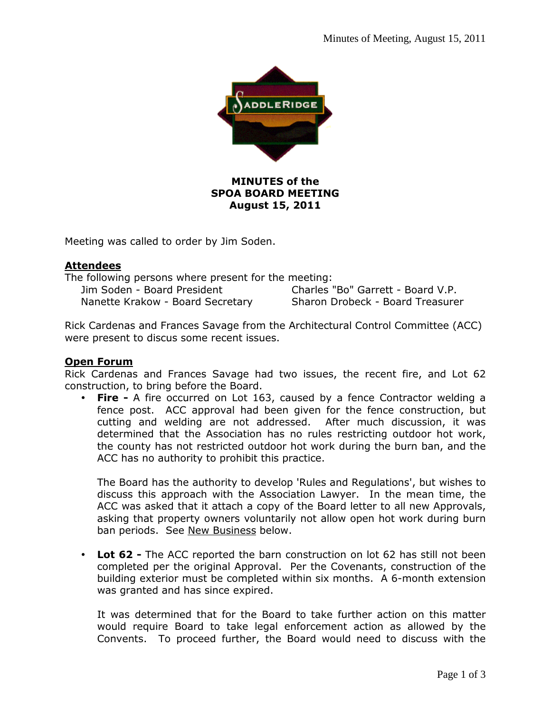

# **MINUTES of the SPOA BOARD MEETING August 15, 2011**

Meeting was called to order by Jim Soden.

#### **Attendees**

| The following persons where present for the meeting: |                                   |
|------------------------------------------------------|-----------------------------------|
| Jim Soden - Board President                          | Charles "Bo" Garrett - Board V.P. |
| Nanette Krakow - Board Secretary                     | Sharon Drobeck - Board Treasurer  |

Rick Cardenas and Frances Savage from the Architectural Control Committee (ACC) were present to discus some recent issues.

# **Open Forum**

Rick Cardenas and Frances Savage had two issues, the recent fire, and Lot 62 construction, to bring before the Board.

**Fire -** A fire occurred on Lot 163, caused by a fence Contractor welding a fence post. ACC approval had been given for the fence construction, but cutting and welding are not addressed. After much discussion, it was determined that the Association has no rules restricting outdoor hot work, the county has not restricted outdoor hot work during the burn ban, and the ACC has no authority to prohibit this practice.

The Board has the authority to develop 'Rules and Regulations', but wishes to discuss this approach with the Association Lawyer. In the mean time, the ACC was asked that it attach a copy of the Board letter to all new Approvals, asking that property owners voluntarily not allow open hot work during burn ban periods. See New Business below.

**Lot 62 -** The ACC reported the barn construction on lot 62 has still not been completed per the original Approval. Per the Covenants, construction of the building exterior must be completed within six months. A 6-month extension was granted and has since expired.

It was determined that for the Board to take further action on this matter would require Board to take legal enforcement action as allowed by the Convents. To proceed further, the Board would need to discuss with the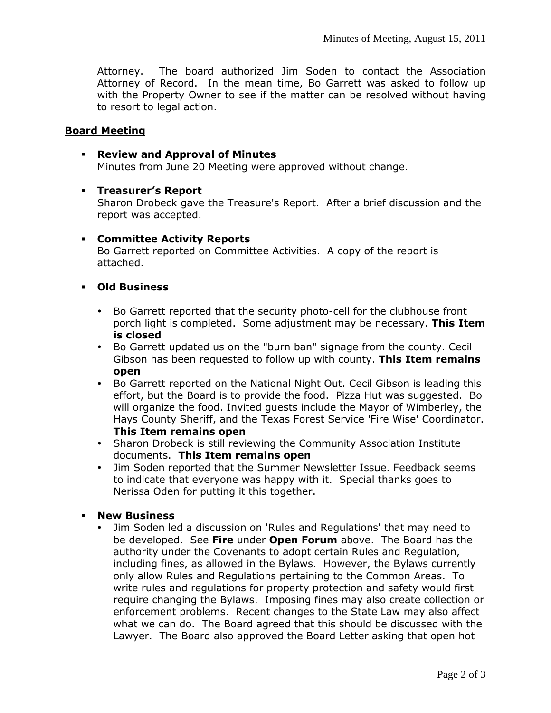Attorney. The board authorized Jim Soden to contact the Association Attorney of Record. In the mean time, Bo Garrett was asked to follow up with the Property Owner to see if the matter can be resolved without having to resort to legal action.

#### **Board Meeting**

- **Review and Approval of Minutes**  Minutes from June 20 Meeting were approved without change.
- **Treasurer's Report**

Sharon Drobeck gave the Treasure's Report. After a brief discussion and the report was accepted.

#### **Committee Activity Reports**

Bo Garrett reported on Committee Activities. A copy of the report is attached.

- **Old Business** 
	- Bo Garrett reported that the security photo-cell for the clubhouse front porch light is completed. Some adjustment may be necessary. **This Item is closed**
	- Bo Garrett updated us on the "burn ban" signage from the county. Cecil Gibson has been requested to follow up with county. **This Item remains open**
	- Bo Garrett reported on the National Night Out. Cecil Gibson is leading this effort, but the Board is to provide the food. Pizza Hut was suggested. Bo will organize the food. Invited guests include the Mayor of Wimberley, the Hays County Sheriff, and the Texas Forest Service 'Fire Wise' Coordinator. **This Item remains open**
	- Sharon Drobeck is still reviewing the Community Association Institute documents. **This Item remains open**
	- Jim Soden reported that the Summer Newsletter Issue. Feedback seems to indicate that everyone was happy with it. Special thanks goes to Nerissa Oden for putting it this together.
- **New Business**
	- Jim Soden led a discussion on 'Rules and Regulations' that may need to be developed. See **Fire** under **Open Forum** above. The Board has the authority under the Covenants to adopt certain Rules and Regulation, including fines, as allowed in the Bylaws. However, the Bylaws currently only allow Rules and Regulations pertaining to the Common Areas. To write rules and regulations for property protection and safety would first require changing the Bylaws. Imposing fines may also create collection or enforcement problems. Recent changes to the State Law may also affect what we can do. The Board agreed that this should be discussed with the Lawyer. The Board also approved the Board Letter asking that open hot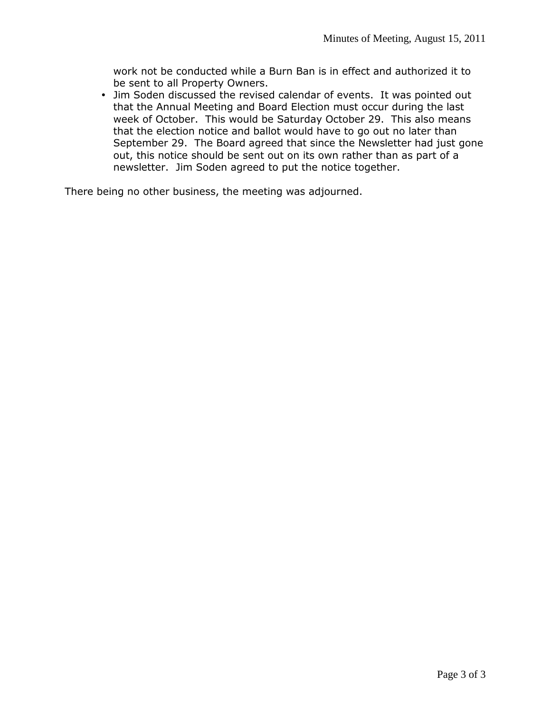work not be conducted while a Burn Ban is in effect and authorized it to be sent to all Property Owners.

 Jim Soden discussed the revised calendar of events. It was pointed out that the Annual Meeting and Board Election must occur during the last week of October. This would be Saturday October 29. This also means that the election notice and ballot would have to go out no later than September 29. The Board agreed that since the Newsletter had just gone out, this notice should be sent out on its own rather than as part of a newsletter. Jim Soden agreed to put the notice together.

There being no other business, the meeting was adjourned.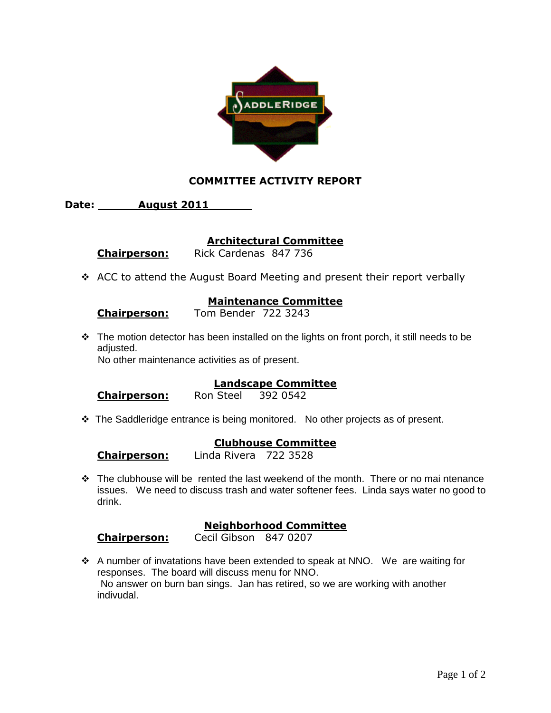

# **COMMITTEE ACTIVITY REPORT**

**Date: August 2011** 

#### **Architectural Committee**

 **Chairperson:** Rick Cardenas 847 736

\* ACC to attend the August Board Meeting and present their report verbally

#### **Maintenance Committee**

# **Chairperson:** Tom Bender 722 3243

\* The motion detector has been installed on the lights on front porch, it still needs to be adiusted.

No other maintenance activities as of present.

# **Landscape Committee**

 **Chairperson:** Ron Steel 392 0542

\* The Saddleridge entrance is being monitored. No other projects as of present.

# **Clubhouse Committee**

 **Chairperson:** Linda Rivera 722 3528

 $\div$  The clubhouse will be rented the last weekend of the month. There or no mai ntenance issues. We need to discuss trash and water softener fees. Linda says water no good to drink.

# **Neighborhood Committee**

 **Chairperson:** Cecil Gibson 847 0207

 A number of invatations have been extended to speak at NNO. We are waiting for responses. The board will discuss menu for NNO. No answer on burn ban sings. Jan has retired, so we are working with another indivudal.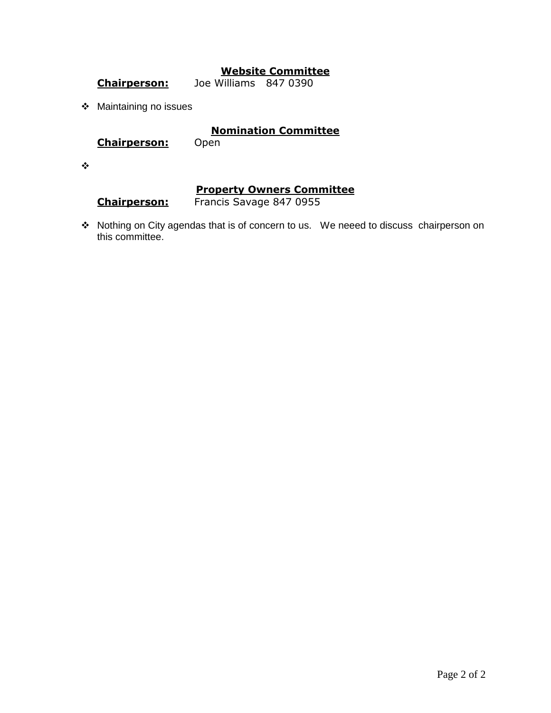# **Website Committee**

 **Chairperson:** Joe Williams 847 0390

Maintaining no issues

# **Nomination Committee**

 **Chairperson:** Open

 $\bullet^{\bullet}_{\bullet} \bullet$ 

# **Property Owners Committee**

 **Chairperson:** Francis Savage 847 0955

\* Nothing on City agendas that is of concern to us. We neeed to discuss chairperson on this committee.